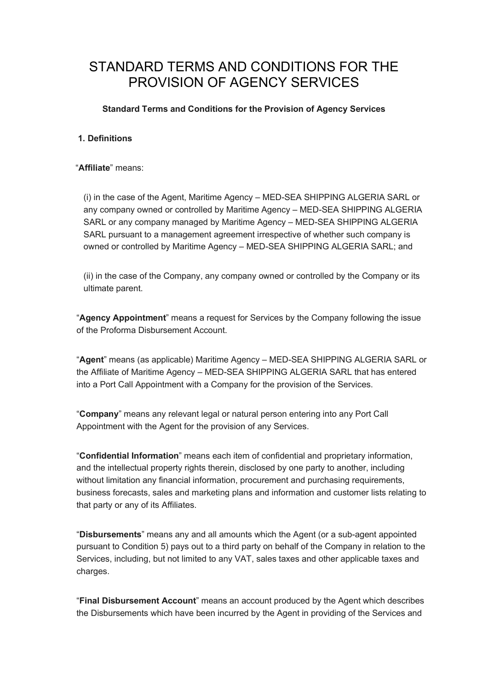# STANDARD TERMS AND CONDITIONS FOR THE PROVISION OF AGENCY SERVICES

## Standard Terms and Conditions for the Provision of Agency Services

## 1. Definitions

"Affiliate" means:

(i) in the case of the Agent, Maritime Agency – MED-SEA SHIPPING ALGERIA SARL or any company owned or controlled by Maritime Agency – MED-SEA SHIPPING ALGERIA SARL or any company managed by Maritime Agency – MED-SEA SHIPPING ALGERIA SARL pursuant to a management agreement irrespective of whether such company is owned or controlled by Maritime Agency – MED-SEA SHIPPING ALGERIA SARL; and

(ii) in the case of the Company, any company owned or controlled by the Company or its ultimate parent.

"Agency Appointment" means a request for Services by the Company following the issue of the Proforma Disbursement Account.

"Agent" means (as applicable) Maritime Agency – MED-SEA SHIPPING ALGERIA SARL or the Affiliate of Maritime Agency – MED-SEA SHIPPING ALGERIA SARL that has entered into a Port Call Appointment with a Company for the provision of the Services.

"Company" means any relevant legal or natural person entering into any Port Call Appointment with the Agent for the provision of any Services.

"Confidential Information" means each item of confidential and proprietary information, and the intellectual property rights therein, disclosed by one party to another, including without limitation any financial information, procurement and purchasing requirements, business forecasts, sales and marketing plans and information and customer lists relating to that party or any of its Affiliates.

"Disbursements" means any and all amounts which the Agent (or a sub-agent appointed pursuant to Condition 5) pays out to a third party on behalf of the Company in relation to the Services, including, but not limited to any VAT, sales taxes and other applicable taxes and charges.

"Final Disbursement Account" means an account produced by the Agent which describes the Disbursements which have been incurred by the Agent in providing of the Services and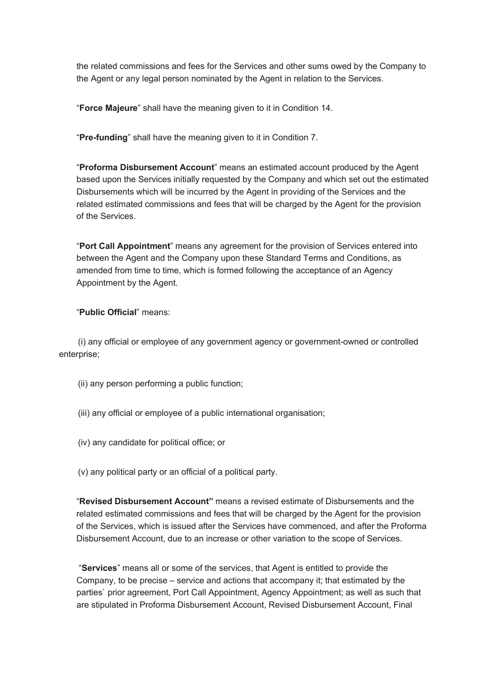the related commissions and fees for the Services and other sums owed by the Company to the Agent or any legal person nominated by the Agent in relation to the Services.

"Force Majeure" shall have the meaning given to it in Condition 14.

"Pre-funding" shall have the meaning given to it in Condition 7.

"Proforma Disbursement Account" means an estimated account produced by the Agent based upon the Services initially requested by the Company and which set out the estimated Disbursements which will be incurred by the Agent in providing of the Services and the related estimated commissions and fees that will be charged by the Agent for the provision of the Services.

"Port Call Appointment" means any agreement for the provision of Services entered into between the Agent and the Company upon these Standard Terms and Conditions, as amended from time to time, which is formed following the acceptance of an Agency Appointment by the Agent.

## "Public Official" means:

 (i) any official or employee of any government agency or government-owned or controlled enterprise;

- (ii) any person performing a public function;
- (iii) any official or employee of a public international organisation;
- (iv) any candidate for political office; or
- (v) any political party or an official of a political party.

"Revised Disbursement Account" means a revised estimate of Disbursements and the related estimated commissions and fees that will be charged by the Agent for the provision of the Services, which is issued after the Services have commenced, and after the Proforma Disbursement Account, due to an increase or other variation to the scope of Services.

 "Services" means all or some of the services, that Agent is entitled to provide the Company, to be precise – service and actions that accompany it; that estimated by the parties` prior agreement, Port Call Appointment, Agency Appointment; as well as such that are stipulated in Proforma Disbursement Account, Revised Disbursement Account, Final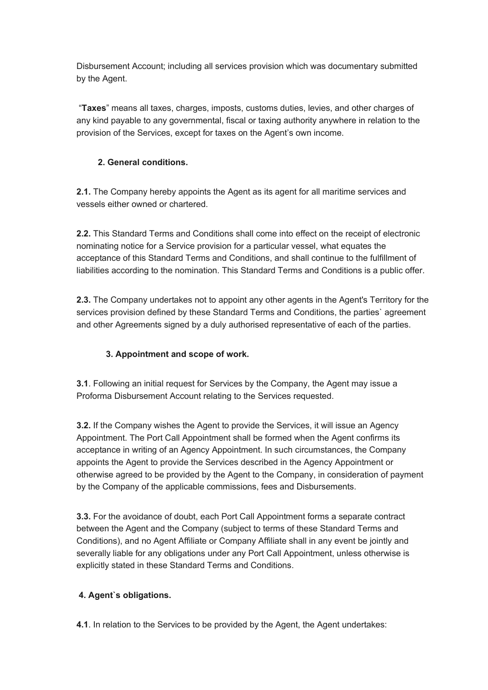Disbursement Account; including all services provision which was documentary submitted by the Agent.

 "Taxes" means all taxes, charges, imposts, customs duties, levies, and other charges of any kind payable to any governmental, fiscal or taxing authority anywhere in relation to the provision of the Services, except for taxes on the Agent's own income.

# 2. General conditions.

2.1. The Company hereby appoints the Agent as its agent for all maritime services and vessels either owned or chartered.

2.2. This Standard Terms and Conditions shall come into effect on the receipt of electronic nominating notice for a Service provision for a particular vessel, what equates the acceptance of this Standard Terms and Conditions, and shall continue to the fulfillment of liabilities according to the nomination. This Standard Terms and Conditions is a public offer.

2.3. The Company undertakes not to appoint any other agents in the Agent's Territory for the services provision defined by these Standard Terms and Conditions, the parties` agreement and other Agreements signed by a duly authorised representative of each of the parties.

# 3. Appointment and scope of work.

3.1. Following an initial request for Services by the Company, the Agent may issue a Proforma Disbursement Account relating to the Services requested.

3.2. If the Company wishes the Agent to provide the Services, it will issue an Agency Appointment. The Port Call Appointment shall be formed when the Agent confirms its acceptance in writing of an Agency Appointment. In such circumstances, the Company appoints the Agent to provide the Services described in the Agency Appointment or otherwise agreed to be provided by the Agent to the Company, in consideration of payment by the Company of the applicable commissions, fees and Disbursements.

3.3. For the avoidance of doubt, each Port Call Appointment forms a separate contract between the Agent and the Company (subject to terms of these Standard Terms and Conditions), and no Agent Affiliate or Company Affiliate shall in any event be jointly and severally liable for any obligations under any Port Call Appointment, unless otherwise is explicitly stated in these Standard Terms and Conditions.

# 4. Agent`s obligations.

4.1. In relation to the Services to be provided by the Agent, the Agent undertakes: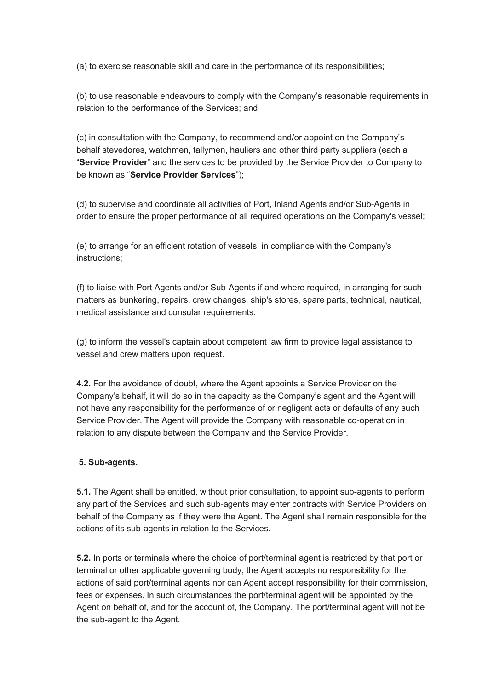(a) to exercise reasonable skill and care in the performance of its responsibilities;

(b) to use reasonable endeavours to comply with the Company's reasonable requirements in relation to the performance of the Services; and

(с) in consultation with the Company, to recommend and/or appoint on the Company's behalf stevedores, watchmen, tallymen, hauliers and other third party suppliers (each a "Service Provider" and the services to be provided by the Service Provider to Company to be known as "Service Provider Services");

(d) to supervise and coordinate all activities of Port, Inland Agents and/or Sub-Agents in order to ensure the proper performance of all required operations on the Company's vessel;

(e) to arrange for an efficient rotation of vessels, in compliance with the Company's instructions;

(f) to liaise with Port Agents and/or Sub-Agents if and where required, in arranging for such matters as bunkering, repairs, crew changes, ship's stores, spare parts, technical, nautical, medical assistance and consular requirements.

(g) to inform the vessel's captain about competent law firm to provide legal assistance to vessel and crew matters upon request.

4.2. For the avoidance of doubt, where the Agent appoints a Service Provider on the Company's behalf, it will do so in the capacity as the Company's agent and the Agent will not have any responsibility for the performance of or negligent acts or defaults of any such Service Provider. The Agent will provide the Company with reasonable co-operation in relation to any dispute between the Company and the Service Provider.

## 5. Sub-agents.

**5.1.** The Agent shall be entitled, without prior consultation, to appoint sub-agents to perform any part of the Services and such sub-agents may enter contracts with Service Providers on behalf of the Company as if they were the Agent. The Agent shall remain responsible for the actions of its sub-agents in relation to the Services.

5.2. In ports or terminals where the choice of port/terminal agent is restricted by that port or terminal or other applicable governing body, the Agent accepts no responsibility for the actions of said port/terminal agents nor can Agent accept responsibility for their commission, fees or expenses. In such circumstances the port/terminal agent will be appointed by the Agent on behalf of, and for the account of, the Company. The port/terminal agent will not be the sub-agent to the Agent.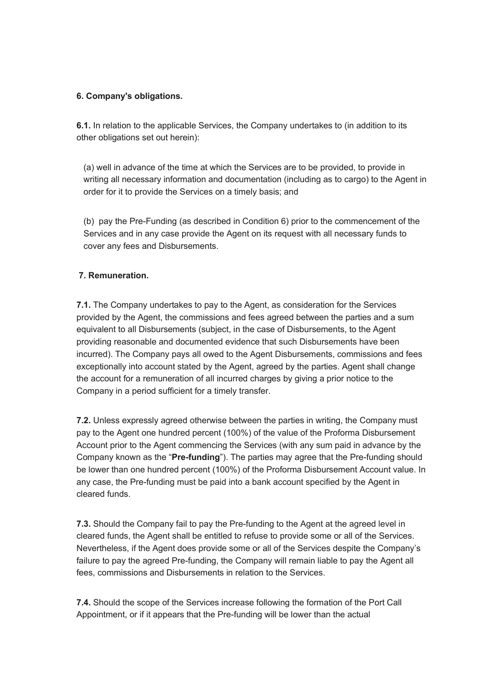## 6. Company's obligations.

6.1. In relation to the applicable Services, the Company undertakes to (in addition to its other obligations set out herein):

(a) well in advance of the time at which the Services are to be provided, to provide in writing all necessary information and documentation (including as to cargo) to the Agent in order for it to provide the Services on a timely basis; and

(b) pay the Pre-Funding (as described in Condition 6) prior to the commencement of the Services and in any case provide the Agent on its request with all necessary funds to cover any fees and Disbursements.

## 7. Remuneration.

7.1. The Company undertakes to pay to the Agent, as consideration for the Services provided by the Agent, the commissions and fees agreed between the parties and a sum equivalent to all Disbursements (subject, in the case of Disbursements, to the Agent providing reasonable and documented evidence that such Disbursements have been incurred). The Company pays all owed to the Agent Disbursements, commissions and fees exceptionally into account stated by the Agent, agreed by the parties. Agent shall change the account for a remuneration of all incurred charges by giving a prior notice to the Company in a period sufficient for a timely transfer.

7.2. Unless expressly agreed otherwise between the parties in writing, the Company must pay to the Agent one hundred percent (100%) of the value of the Proforma Disbursement Account prior to the Agent commencing the Services (with any sum paid in advance by the Company known as the "Pre-funding"). The parties may agree that the Pre-funding should be lower than one hundred percent (100%) of the Proforma Disbursement Account value. In any case, the Pre-funding must be paid into a bank account specified by the Agent in cleared funds.

7.3. Should the Company fail to pay the Pre-funding to the Agent at the agreed level in cleared funds, the Agent shall be entitled to refuse to provide some or all of the Services. Nevertheless, if the Agent does provide some or all of the Services despite the Company's failure to pay the agreed Pre-funding, the Company will remain liable to pay the Agent all fees, commissions and Disbursements in relation to the Services.

7.4. Should the scope of the Services increase following the formation of the Port Call Appointment, or if it appears that the Pre-funding will be lower than the actual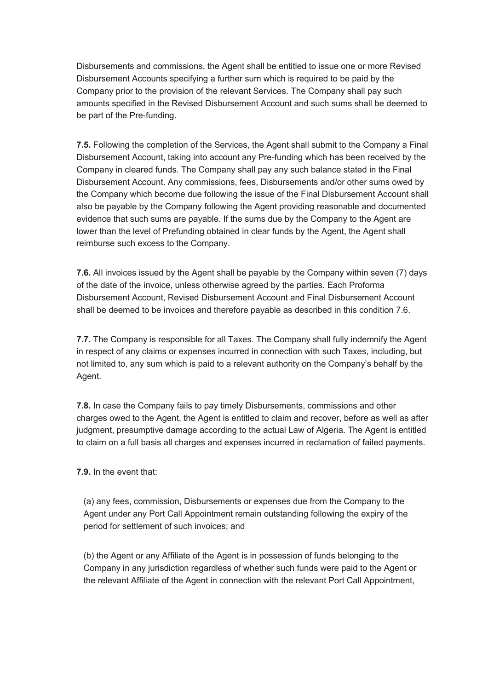Disbursements and commissions, the Agent shall be entitled to issue one or more Revised Disbursement Accounts specifying a further sum which is required to be paid by the Company prior to the provision of the relevant Services. The Company shall pay such amounts specified in the Revised Disbursement Account and such sums shall be deemed to be part of the Pre-funding.

**7.5.** Following the completion of the Services, the Agent shall submit to the Company a Final Disbursement Account, taking into account any Pre-funding which has been received by the Company in cleared funds. The Company shall pay any such balance stated in the Final Disbursement Account. Any commissions, fees, Disbursements and/or other sums owed by the Company which become due following the issue of the Final Disbursement Account shall also be payable by the Company following the Agent providing reasonable and documented evidence that such sums are payable. If the sums due by the Company to the Agent are lower than the level of Prefunding obtained in clear funds by the Agent, the Agent shall reimburse such excess to the Company.

7.6. All invoices issued by the Agent shall be payable by the Company within seven (7) days of the date of the invoice, unless otherwise agreed by the parties. Each Proforma Disbursement Account, Revised Disbursement Account and Final Disbursement Account shall be deemed to be invoices and therefore payable as described in this condition 7.6.

7.7. The Company is responsible for all Taxes. The Company shall fully indemnify the Agent in respect of any claims or expenses incurred in connection with such Taxes, including, but not limited to, any sum which is paid to a relevant authority on the Company's behalf by the Agent.

7.8. In case the Company fails to pay timely Disbursements, commissions and other charges owed to the Agent, the Agent is entitled to claim and recover, before as well as after judgment, presumptive damage according to the actual Law of Algeria. The Agent is entitled to claim on a full basis all charges and expenses incurred in reclamation of failed payments.

7.9. In the event that:

(a) any fees, commission, Disbursements or expenses due from the Company to the Agent under any Port Call Appointment remain outstanding following the expiry of the period for settlement of such invoices; and

(b) the Agent or any Affiliate of the Agent is in possession of funds belonging to the Company in any jurisdiction regardless of whether such funds were paid to the Agent or the relevant Affiliate of the Agent in connection with the relevant Port Call Appointment,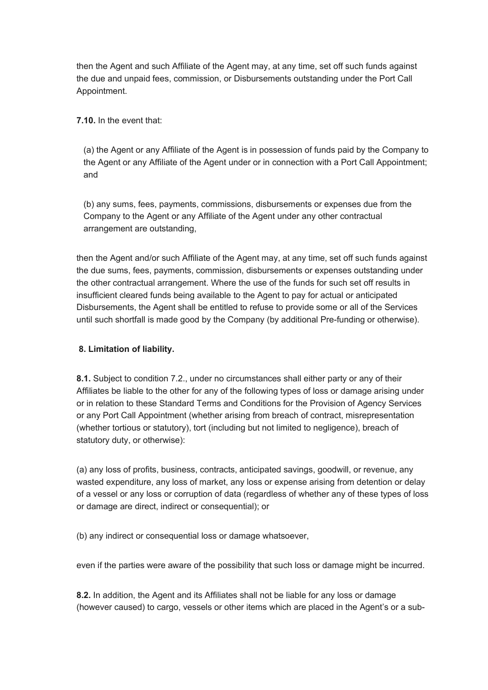then the Agent and such Affiliate of the Agent may, at any time, set off such funds against the due and unpaid fees, commission, or Disbursements outstanding under the Port Call Appointment.

7.10. In the event that:

(a) the Agent or any Affiliate of the Agent is in possession of funds paid by the Company to the Agent or any Affiliate of the Agent under or in connection with a Port Call Appointment; and

(b) any sums, fees, payments, commissions, disbursements or expenses due from the Company to the Agent or any Affiliate of the Agent under any other contractual arrangement are outstanding,

then the Agent and/or such Affiliate of the Agent may, at any time, set off such funds against the due sums, fees, payments, commission, disbursements or expenses outstanding under the other contractual arrangement. Where the use of the funds for such set off results in insufficient cleared funds being available to the Agent to pay for actual or anticipated Disbursements, the Agent shall be entitled to refuse to provide some or all of the Services until such shortfall is made good by the Company (by additional Pre-funding or otherwise).

# 8. Limitation of liability.

8.1. Subject to condition 7.2., under no circumstances shall either party or any of their Affiliates be liable to the other for any of the following types of loss or damage arising under or in relation to these Standard Terms and Conditions for the Provision of Agency Services or any Port Call Appointment (whether arising from breach of contract, misrepresentation (whether tortious or statutory), tort (including but not limited to negligence), breach of statutory duty, or otherwise):

(a) any loss of profits, business, contracts, anticipated savings, goodwill, or revenue, any wasted expenditure, any loss of market, any loss or expense arising from detention or delay of a vessel or any loss or corruption of data (regardless of whether any of these types of loss or damage are direct, indirect or consequential); or

(b) any indirect or consequential loss or damage whatsoever,

even if the parties were aware of the possibility that such loss or damage might be incurred.

8.2. In addition, the Agent and its Affiliates shall not be liable for any loss or damage (however caused) to cargo, vessels or other items which are placed in the Agent's or a sub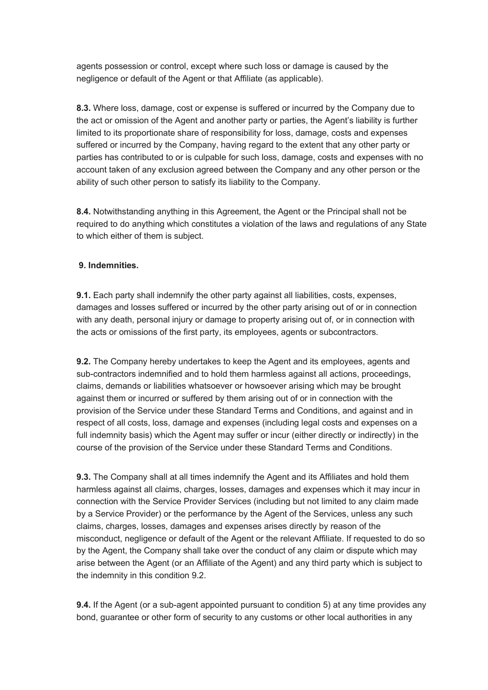agents possession or control, except where such loss or damage is caused by the negligence or default of the Agent or that Affiliate (as applicable).

8.3. Where loss, damage, cost or expense is suffered or incurred by the Company due to the act or omission of the Agent and another party or parties, the Agent's liability is further limited to its proportionate share of responsibility for loss, damage, costs and expenses suffered or incurred by the Company, having regard to the extent that any other party or parties has contributed to or is culpable for such loss, damage, costs and expenses with no account taken of any exclusion agreed between the Company and any other person or the ability of such other person to satisfy its liability to the Company.

8.4. Notwithstanding anything in this Agreement, the Agent or the Principal shall not be required to do anything which constitutes a violation of the laws and regulations of any State to which either of them is subject.

## 9. Indemnities.

9.1. Each party shall indemnify the other party against all liabilities, costs, expenses, damages and losses suffered or incurred by the other party arising out of or in connection with any death, personal injury or damage to property arising out of, or in connection with the acts or omissions of the first party, its employees, agents or subcontractors.

9.2. The Company hereby undertakes to keep the Agent and its employees, agents and sub-contractors indemnified and to hold them harmless against all actions, proceedings, claims, demands or liabilities whatsoever or howsoever arising which may be brought against them or incurred or suffered by them arising out of or in connection with the provision of the Service under these Standard Terms and Conditions, and against and in respect of all costs, loss, damage and expenses (including legal costs and expenses on a full indemnity basis) which the Agent may suffer or incur (either directly or indirectly) in the course of the provision of the Service under these Standard Terms and Conditions.

**9.3.** The Company shall at all times indemnify the Agent and its Affiliates and hold them harmless against all claims, charges, losses, damages and expenses which it may incur in connection with the Service Provider Services (including but not limited to any claim made by a Service Provider) or the performance by the Agent of the Services, unless any such claims, charges, losses, damages and expenses arises directly by reason of the misconduct, negligence or default of the Agent or the relevant Affiliate. If requested to do so by the Agent, the Company shall take over the conduct of any claim or dispute which may arise between the Agent (or an Affiliate of the Agent) and any third party which is subject to the indemnity in this condition 9.2.

**9.4.** If the Agent (or a sub-agent appointed pursuant to condition 5) at any time provides any bond, guarantee or other form of security to any customs or other local authorities in any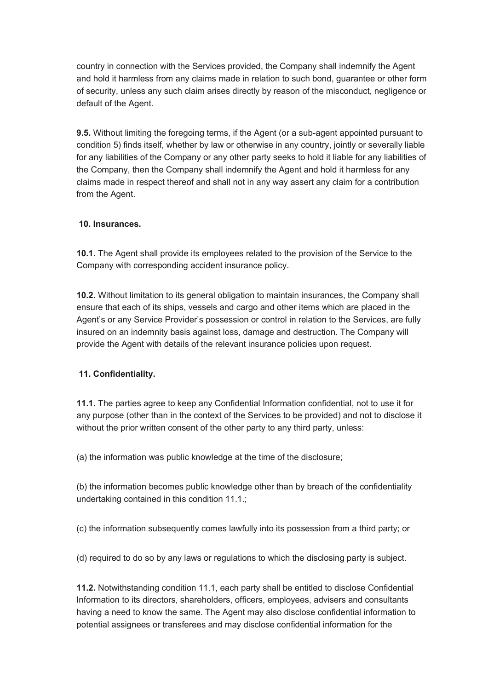country in connection with the Services provided, the Company shall indemnify the Agent and hold it harmless from any claims made in relation to such bond, guarantee or other form of security, unless any such claim arises directly by reason of the misconduct, negligence or default of the Agent.

**9.5.** Without limiting the foregoing terms, if the Agent (or a sub-agent appointed pursuant to condition 5) finds itself, whether by law or otherwise in any country, jointly or severally liable for any liabilities of the Company or any other party seeks to hold it liable for any liabilities of the Company, then the Company shall indemnify the Agent and hold it harmless for any claims made in respect thereof and shall not in any way assert any claim for a contribution from the Agent.

## 10. Insurances.

10.1. The Agent shall provide its employees related to the provision of the Service to the Company with corresponding accident insurance policy.

10.2. Without limitation to its general obligation to maintain insurances, the Company shall ensure that each of its ships, vessels and cargo and other items which are placed in the Agent's or any Service Provider's possession or control in relation to the Services, are fully insured on an indemnity basis against loss, damage and destruction. The Company will provide the Agent with details of the relevant insurance policies upon request.

# 11. Confidentiality.

11.1. The parties agree to keep any Confidential Information confidential, not to use it for any purpose (other than in the context of the Services to be provided) and not to disclose it without the prior written consent of the other party to any third party, unless:

(a) the information was public knowledge at the time of the disclosure;

(b) the information becomes public knowledge other than by breach of the confidentiality undertaking contained in this condition 11.1.;

(с) the information subsequently comes lawfully into its possession from a third party; or

(d) required to do so by any laws or regulations to which the disclosing party is subject.

11.2. Notwithstanding condition 11.1, each party shall be entitled to disclose Confidential Information to its directors, shareholders, officers, employees, advisers and consultants having a need to know the same. The Agent may also disclose confidential information to potential assignees or transferees and may disclose confidential information for the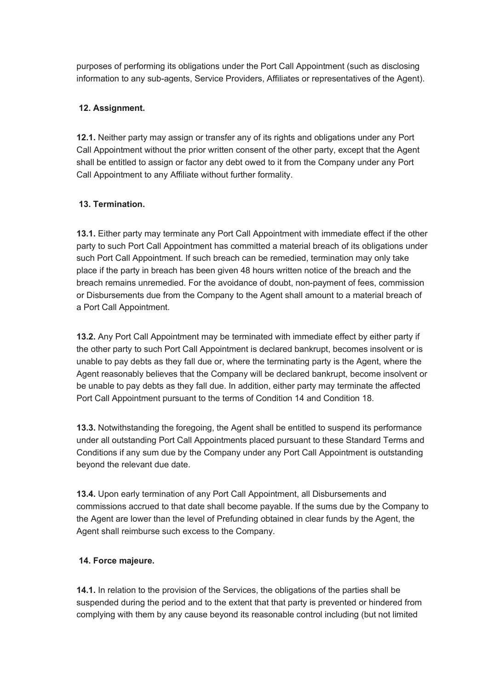purposes of performing its obligations under the Port Call Appointment (such as disclosing information to any sub-agents, Service Providers, Affiliates or representatives of the Agent).

# 12. Assignment.

12.1. Neither party may assign or transfer any of its rights and obligations under any Port Call Appointment without the prior written consent of the other party, except that the Agent shall be entitled to assign or factor any debt owed to it from the Company under any Port Call Appointment to any Affiliate without further formality.

## 13. Termination.

13.1. Either party may terminate any Port Call Appointment with immediate effect if the other party to such Port Call Appointment has committed a material breach of its obligations under such Port Call Appointment. If such breach can be remedied, termination may only take place if the party in breach has been given 48 hours written notice of the breach and the breach remains unremedied. For the avoidance of doubt, non-payment of fees, commission or Disbursements due from the Company to the Agent shall amount to a material breach of a Port Call Appointment.

13.2. Any Port Call Appointment may be terminated with immediate effect by either party if the other party to such Port Call Appointment is declared bankrupt, becomes insolvent or is unable to pay debts as they fall due or, where the terminating party is the Agent, where the Agent reasonably believes that the Company will be declared bankrupt, become insolvent or be unable to pay debts as they fall due. In addition, either party may terminate the affected Port Call Appointment pursuant to the terms of Condition 14 and Condition 18.

13.3. Notwithstanding the foregoing, the Agent shall be entitled to suspend its performance under all outstanding Port Call Appointments placed pursuant to these Standard Terms and Conditions if any sum due by the Company under any Port Call Appointment is outstanding beyond the relevant due date.

13.4. Upon early termination of any Port Call Appointment, all Disbursements and commissions accrued to that date shall become payable. If the sums due by the Company to the Agent are lower than the level of Prefunding obtained in clear funds by the Agent, the Agent shall reimburse such excess to the Company.

## 14. Force majeure.

14.1. In relation to the provision of the Services, the obligations of the parties shall be suspended during the period and to the extent that that party is prevented or hindered from complying with them by any cause beyond its reasonable control including (but not limited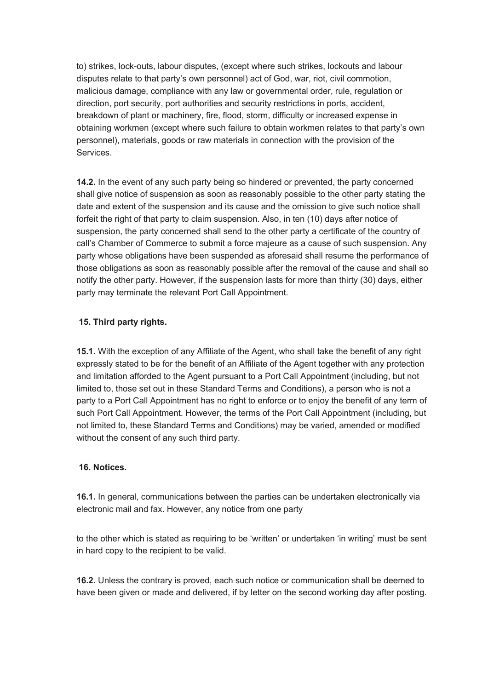to) strikes, lock-outs, labour disputes, (except where such strikes, lockouts and labour disputes relate to that party's own personnel) act of God, war, riot, civil commotion, malicious damage, compliance with any law or governmental order, rule, regulation or direction, port security, port authorities and security restrictions in ports, accident, breakdown of plant or machinery, fire, flood, storm, difficulty or increased expense in obtaining workmen (except where such failure to obtain workmen relates to that party's own personnel), materials, goods or raw materials in connection with the provision of the Services.

14.2. In the event of any such party being so hindered or prevented, the party concerned shall give notice of suspension as soon as reasonably possible to the other party stating the date and extent of the suspension and its cause and the omission to give such notice shall forfeit the right of that party to claim suspension. Also, in ten (10) days after notice of suspension, the party concerned shall send to the other party a certificate of the country of call's Chamber of Commerce to submit a force majeure as a cause of such suspension. Any party whose obligations have been suspended as aforesaid shall resume the performance of those obligations as soon as reasonably possible after the removal of the cause and shall so notify the other party. However, if the suspension lasts for more than thirty (30) days, either party may terminate the relevant Port Call Appointment.

## 15. Third party rights.

15.1. With the exception of any Affiliate of the Agent, who shall take the benefit of any right expressly stated to be for the benefit of an Affiliate of the Agent together with any protection and limitation afforded to the Agent pursuant to a Port Call Appointment (including, but not limited to, those set out in these Standard Terms and Conditions), a person who is not a party to a Port Call Appointment has no right to enforce or to enjoy the benefit of any term of such Port Call Appointment. However, the terms of the Port Call Appointment (including, but not limited to, these Standard Terms and Conditions) may be varied, amended or modified without the consent of any such third party.

## 16. Notices.

16.1. In general, communications between the parties can be undertaken electronically via electronic mail and fax. However, any notice from one party

to the other which is stated as requiring to be 'written' or undertaken 'in writing' must be sent in hard copy to the recipient to be valid.

16.2. Unless the contrary is proved, each such notice or communication shall be deemed to have been given or made and delivered, if by letter on the second working day after posting.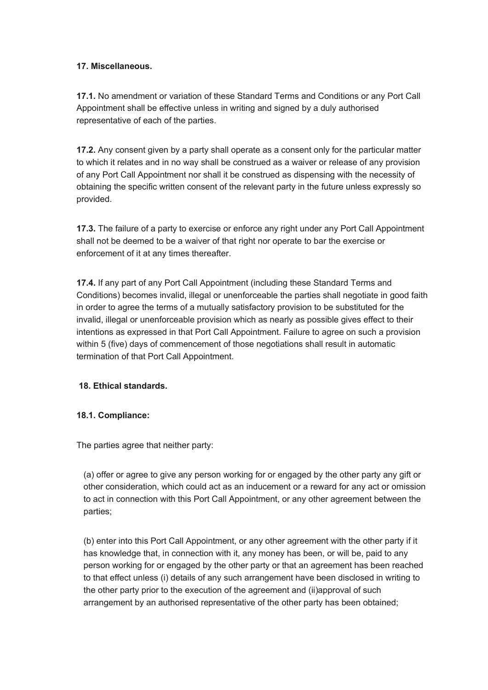## 17. Miscellaneous.

17.1. No amendment or variation of these Standard Terms and Conditions or any Port Call Appointment shall be effective unless in writing and signed by a duly authorised representative of each of the parties.

17.2. Any consent given by a party shall operate as a consent only for the particular matter to which it relates and in no way shall be construed as a waiver or release of any provision of any Port Call Appointment nor shall it be construed as dispensing with the necessity of obtaining the specific written consent of the relevant party in the future unless expressly so provided.

17.3. The failure of a party to exercise or enforce any right under any Port Call Appointment shall not be deemed to be a waiver of that right nor operate to bar the exercise or enforcement of it at any times thereafter.

17.4. If any part of any Port Call Appointment (including these Standard Terms and Conditions) becomes invalid, illegal or unenforceable the parties shall negotiate in good faith in order to agree the terms of a mutually satisfactory provision to be substituted for the invalid, illegal or unenforceable provision which as nearly as possible gives effect to their intentions as expressed in that Port Call Appointment. Failure to agree on such a provision within 5 (five) days of commencement of those negotiations shall result in automatic termination of that Port Call Appointment.

# 18. Ethical standards.

## 18.1. Compliance:

The parties agree that neither party:

(a) offer or agree to give any person working for or engaged by the other party any gift or other consideration, which could act as an inducement or a reward for any act or omission to act in connection with this Port Call Appointment, or any other agreement between the parties;

(b) enter into this Port Call Appointment, or any other agreement with the other party if it has knowledge that, in connection with it, any money has been, or will be, paid to any person working for or engaged by the other party or that an agreement has been reached to that effect unless (i) details of any such arrangement have been disclosed in writing to the other party prior to the execution of the agreement and (ii)approval of such arrangement by an authorised representative of the other party has been obtained;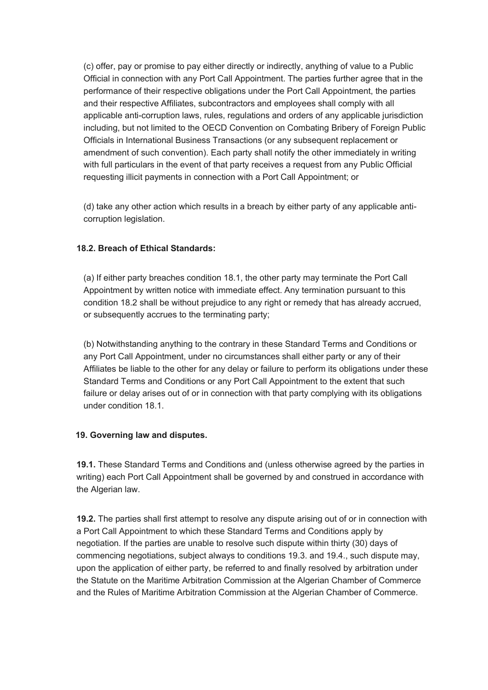(с) offer, pay or promise to pay either directly or indirectly, anything of value to a Public Official in connection with any Port Call Appointment. The parties further agree that in the performance of their respective obligations under the Port Call Appointment, the parties and their respective Affiliates, subcontractors and employees shall comply with all applicable anti-corruption laws, rules, regulations and orders of any applicable jurisdiction including, but not limited to the OECD Convention on Combating Bribery of Foreign Public Officials in International Business Transactions (or any subsequent replacement or amendment of such convention). Each party shall notify the other immediately in writing with full particulars in the event of that party receives a request from any Public Official requesting illicit payments in connection with a Port Call Appointment; or

(d) take any other action which results in a breach by either party of any applicable anticorruption legislation.

## 18.2. Breach of Ethical Standards:

(a) If either party breaches condition 18.1, the other party may terminate the Port Call Appointment by written notice with immediate effect. Any termination pursuant to this condition 18.2 shall be without prejudice to any right or remedy that has already accrued, or subsequently accrues to the terminating party;

(b) Notwithstanding anything to the contrary in these Standard Terms and Conditions or any Port Call Appointment, under no circumstances shall either party or any of their Affiliates be liable to the other for any delay or failure to perform its obligations under these Standard Terms and Conditions or any Port Call Appointment to the extent that such failure or delay arises out of or in connection with that party complying with its obligations under condition 18.1.

## 19. Governing law and disputes.

19.1. These Standard Terms and Conditions and (unless otherwise agreed by the parties in writing) each Port Call Appointment shall be governed by and construed in accordance with the Algerian law.

19.2. The parties shall first attempt to resolve any dispute arising out of or in connection with a Port Call Appointment to which these Standard Terms and Conditions apply by negotiation. If the parties are unable to resolve such dispute within thirty (30) days of commencing negotiations, subject always to conditions 19.3. and 19.4., such dispute may, upon the application of either party, be referred to and finally resolved by arbitration under the Statute on the Maritime Arbitration Commission at the Algerian Chamber of Commerce and the Rules of Maritime Arbitration Commission at the Algerian Chamber of Commerce.